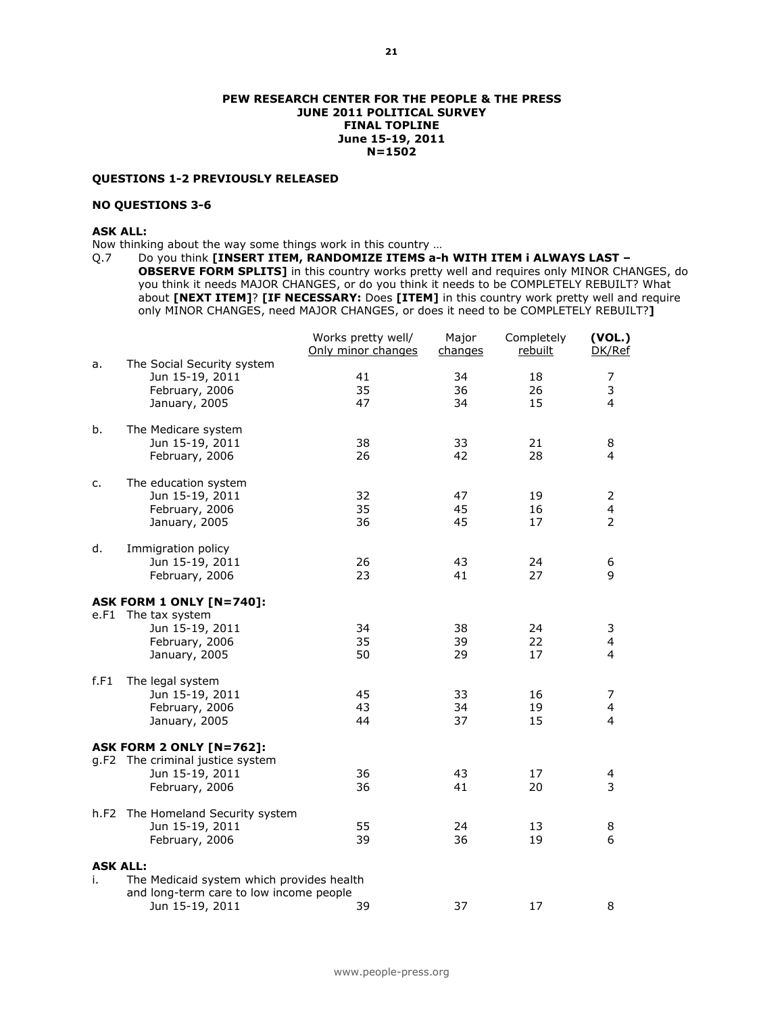#### PEW RESEARCH CENTER FOR THE PEOPLE & THE PRESS JUNE 2011 POLITICAL SURVEY FINAL TOPLINE June 15-19, 2011 N=1502

### QUESTIONS 1-2 PREVIOUSLY RELEASED

## NO QUESTIONS 3-6

# ASK ALL:

Now thinking about the way some things work in this country …

Q.7 Do you think [INSERT ITEM, RANDOMIZE ITEMS a-h WITH ITEM i ALWAYS LAST -OBSERVE FORM SPLITS] in this country works pretty well and requires only MINOR CHANGES, do you think it needs MAJOR CHANGES, or do you think it needs to be COMPLETELY REBUILT? What about [NEXT ITEM]? [IF NECESSARY: Does [ITEM] in this country work pretty well and require only MINOR CHANGES, need MAJOR CHANGES, or does it need to be COMPLETELY REBUILT?]

|                 |                                               | Works pretty well/<br>Only minor changes | Major<br>changes | Completely<br>rebuilt | (VOL.)<br>DK/Ref |
|-----------------|-----------------------------------------------|------------------------------------------|------------------|-----------------------|------------------|
| a.              | The Social Security system<br>Jun 15-19, 2011 | 41                                       | 34               | 18                    | 7                |
|                 | February, 2006                                | 35                                       | 36               | 26                    | 3                |
|                 | January, 2005                                 | 47                                       | 34               | 15                    | 4                |
| b.              | The Medicare system                           |                                          |                  |                       |                  |
|                 | Jun 15-19, 2011                               | 38                                       | 33               | 21                    | 8                |
|                 | February, 2006                                | 26                                       | 42               | 28                    | 4                |
| c.              | The education system                          |                                          |                  |                       |                  |
|                 | Jun 15-19, 2011                               | 32                                       | 47               | 19                    | 2                |
|                 | February, 2006                                | 35                                       | 45               | 16                    | 4                |
|                 | January, 2005                                 | 36                                       | 45               | 17                    | $\overline{2}$   |
| d.              | Immigration policy                            |                                          |                  |                       |                  |
|                 | Jun 15-19, 2011                               | 26                                       | 43               | 24                    | 6                |
|                 | February, 2006                                | 23                                       | 41               | 27                    | 9                |
|                 | <b>ASK FORM 1 ONLY [N=740]:</b>               |                                          |                  |                       |                  |
|                 | e.F1 The tax system                           |                                          |                  |                       |                  |
|                 | Jun 15-19, 2011                               | 34                                       | 38               | 24                    | 3                |
|                 | February, 2006                                | 35                                       | 39               | 22                    | 4                |
|                 | January, 2005                                 | 50                                       | 29               | 17                    | 4                |
| f.F1            | The legal system                              |                                          |                  |                       |                  |
|                 | Jun 15-19, 2011                               | 45                                       | 33               | 16                    | 7                |
|                 | February, 2006                                | 43                                       | 34               | 19                    | 4                |
|                 | January, 2005                                 | 44                                       | 37               | 15                    | $\overline{4}$   |
|                 | ASK FORM 2 ONLY [N=762]:                      |                                          |                  |                       |                  |
|                 | g.F2 The criminal justice system              |                                          |                  |                       |                  |
|                 | Jun 15-19, 2011                               | 36                                       | 43               | 17                    | 4                |
|                 | February, 2006                                | 36                                       | 41               | 20                    | 3                |
|                 | h.F2 The Homeland Security system             |                                          |                  |                       |                  |
|                 | Jun 15-19, 2011                               | 55                                       | 24               | 13                    | 8                |
|                 | February, 2006                                | 39                                       | 36               | 19                    | 6                |
| <b>ASK ALL:</b> |                                               |                                          |                  |                       |                  |
| i.              | The Medicaid system which provides health     |                                          |                  |                       |                  |
|                 | and long-term care to low income people       |                                          |                  |                       |                  |
|                 | Jun 15-19, 2011                               | 39                                       | 37               | 17                    | 8                |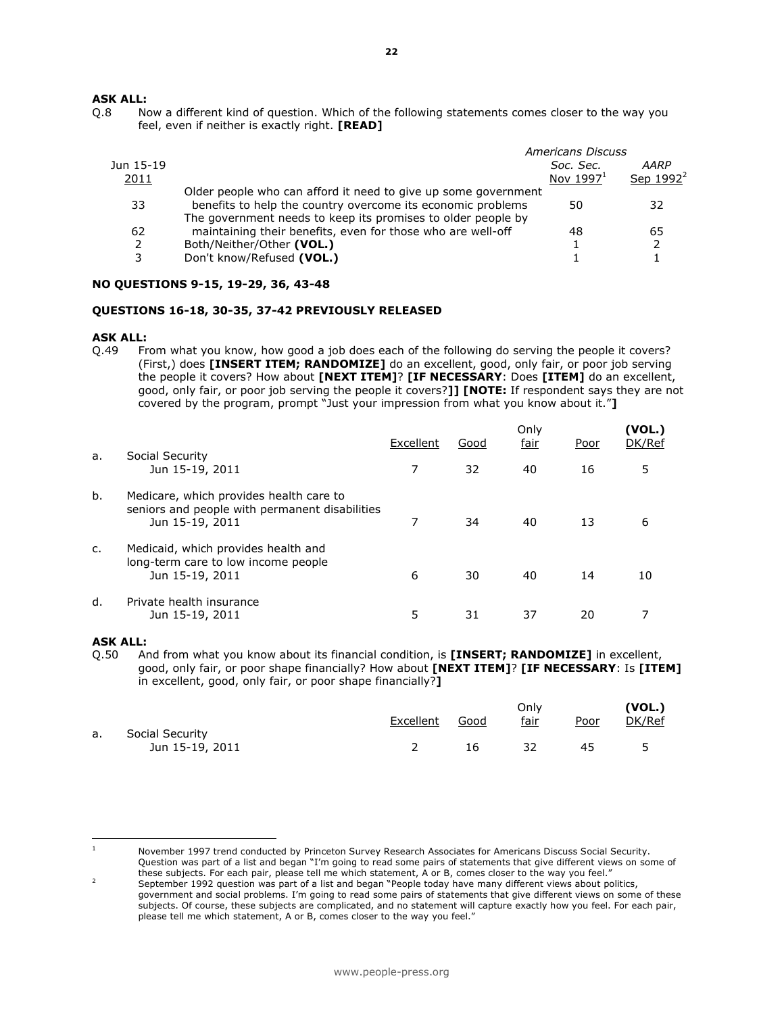### ASK ALL:

Q.8 Now a different kind of question. Which of the following statements comes closer to the way you feel, even if neither is exactly right. [READ]

|                   |                                                                                                                                                                                               | Americans Discuss        |                      |
|-------------------|-----------------------------------------------------------------------------------------------------------------------------------------------------------------------------------------------|--------------------------|----------------------|
| Jun 15-19<br>2011 |                                                                                                                                                                                               | Soc. Sec.<br>Nov $19971$ | AARP<br>Sep $1992^2$ |
| 33                | Older people who can afford it need to give up some government<br>benefits to help the country overcome its economic problems<br>The government needs to keep its promises to older people by | 50                       | 32                   |
| 62<br>3           | maintaining their benefits, even for those who are well-off<br>Both/Neither/Other (VOL.)<br>Don't know/Refused (VOL.)                                                                         | 48                       | 65                   |
|                   |                                                                                                                                                                                               |                          |                      |

#### NO QUESTIONS 9-15, 19-29, 36, 43-48

#### QUESTIONS 16-18, 30-35, 37-42 PREVIOUSLY RELEASED

#### ASK ALL:

Q.49 From what you know, how good a job does each of the following do serving the people it covers? (First,) does [INSERT ITEM; RANDOMIZE] do an excellent, good, only fair, or poor job serving the people it covers? How about [NEXT ITEM]? [IF NECESSARY: Does [ITEM] do an excellent, good, only fair, or poor job serving the people it covers?]] [NOTE: If respondent says they are not covered by the program, prompt "Just your impression from what you know about it."]

|               |                                                                                                              | Excellent | Good | Only<br><u>fair</u> | Poor | (VOL.)<br>DK/Ref |
|---------------|--------------------------------------------------------------------------------------------------------------|-----------|------|---------------------|------|------------------|
| a.            | Social Security<br>Jun 15-19, 2011                                                                           |           | 32   | 40                  | 16   | 5                |
| b.            | Medicare, which provides health care to<br>seniors and people with permanent disabilities<br>Jun 15-19, 2011 |           | 34   | 40                  | 13   | 6                |
| $C_{\bullet}$ | Medicaid, which provides health and<br>long-term care to low income people<br>Jun 15-19, 2011                | 6         | 30   | 40                  | 14   | 10               |
| d.            | Private health insurance<br>Jun 15-19, 2011                                                                  | 5         | 31   | 37                  | 20   |                  |

#### ASK ALL:

l.

Q.50 And from what you know about its financial condition, is [INSERT; RANDOMIZE] in excellent, good, only fair, or poor shape financially? How about [NEXT ITEM]? [IF NECESSARY: Is [ITEM] in excellent, good, only fair, or poor shape financially?]

|                 |           | Only |             | (VOL.) |
|-----------------|-----------|------|-------------|--------|
|                 |           |      |             | DK/Ref |
| Social Security |           |      |             |        |
| Jun 15-19, 2011 | 16        | 32   | 45          | 5      |
|                 | Excellent | Good | <u>fair</u> | Poor   |

<sup>1</sup> November 1997 trend conducted by Princeton Survey Research Associates for Americans Discuss Social Security. Question was part of a list and began "I'm going to read some pairs of statements that give different views on some of these subjects. For each pair, please tell me which statement, A or B, comes closer to the way you feel."

<sup>2</sup> September 1992 question was part of a list and began "People today have many different views about politics, government and social problems. I'm going to read some pairs of statements that give different views on some of these subjects. Of course, these subjects are complicated, and no statement will capture exactly how you feel. For each pair, please tell me which statement, A or B, comes closer to the way you feel."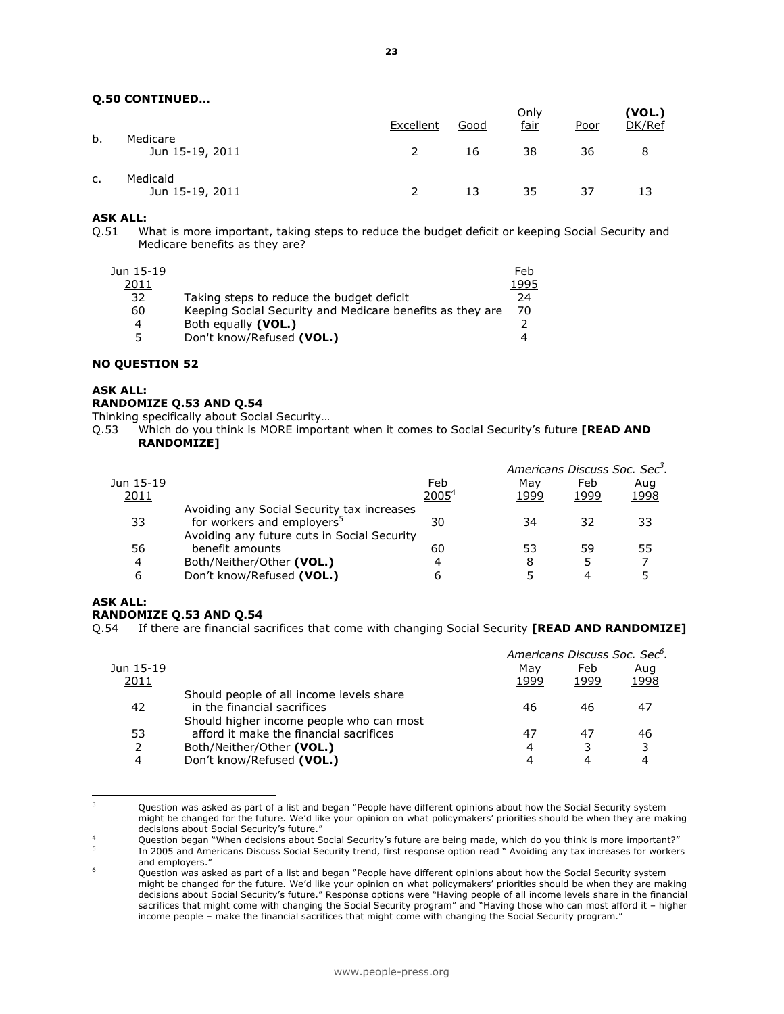## Q.50 CONTINUED…

|    |                             | Excellent | Good | Only<br>fair | <u>Poor</u> | (VOL.)<br>DK/Ref |
|----|-----------------------------|-----------|------|--------------|-------------|------------------|
| b. | Medicare<br>Jun 15-19, 2011 |           | 16   | 38           | 36          | 8                |
| c. | Medicaid<br>Jun 15-19, 2011 |           | 13   | 35           | 37          | 13               |

# **ASK ALL:**<br>0.51 W

What is more important, taking steps to reduce the budget deficit or keeping Social Security and Medicare benefits as they are?

| Jun 15-19 |                                                           | Feb  |
|-----------|-----------------------------------------------------------|------|
| 2011      |                                                           | 1995 |
| 32        | Taking steps to reduce the budget deficit                 | 24   |
| 60        | Keeping Social Security and Medicare benefits as they are | 70   |
| 4         | Both equally (VOL.)                                       |      |
| ↖         | Don't know/Refused (VOL.)                                 | 4    |
|           |                                                           |      |

#### NO QUESTION 52

#### ASK ALL:

#### RANDOMIZE Q.53 AND Q.54

Thinking specifically about Social Security…

Q.53 Which do you think is MORE important when it comes to Social Security's future [READ AND RANDOMIZE]

|           |                                             |                   | Americans Discuss Soc. Sec <sup>3</sup> . |      |      |
|-----------|---------------------------------------------|-------------------|-------------------------------------------|------|------|
| Jun 15-19 |                                             | Feb               | Mav                                       | Feb  | Aug  |
| 2011      |                                             | 2005 <sup>4</sup> | 1999                                      | 1999 | 1998 |
|           | Avoiding any Social Security tax increases  |                   |                                           |      |      |
| 33        | for workers and employers <sup>5</sup>      | 30                | 34                                        | 32   | 33   |
|           | Avoiding any future cuts in Social Security |                   |                                           |      |      |
| 56        | benefit amounts                             | 60                | 53                                        | 59   | 55   |
| 4         | Both/Neither/Other (VOL.)                   | 4                 | 8                                         | 5    |      |
| 6         | Don't know/Refused (VOL.)                   | ь                 |                                           |      |      |
|           |                                             |                   |                                           |      |      |

#### ASK ALL:

L

#### RANDOMIZE Q.53 AND Q.54

Q.54 If there are financial sacrifices that come with changing Social Security [READ AND RANDOMIZE]

|                                          | Mav  | Feb  | Aug                                       |
|------------------------------------------|------|------|-------------------------------------------|
|                                          | 1999 | 1999 | 1998                                      |
| Should people of all income levels share |      |      |                                           |
| in the financial sacrifices              | 46   | 46   | 47                                        |
| Should higher income people who can most |      |      |                                           |
| afford it make the financial sacrifices  | 47   | 47   | 46                                        |
| Both/Neither/Other (VOL.)                | 4    |      | 3                                         |
| Don't know/Refused (VOL.)                | 4    | 4    |                                           |
|                                          |      |      | Americans Discuss Soc. Sec <sup>6</sup> . |

<sup>3</sup> Question was asked as part of a list and began "People have different opinions about how the Social Security system might be changed for the future. We'd like your opinion on what policymakers' priorities should be when they are making decisions about Social Security's future."

<sup>4</sup> Question began "When decisions about Social Security's future are being made, which do you think is more important?" 5 In 2005 and Americans Discuss Social Security trend, first response option read " Avoiding any tax increases for workers and employers."

<sup>6</sup> Question was asked as part of a list and began "People have different opinions about how the Social Security system might be changed for the future. We'd like your opinion on what policymakers' priorities should be when they are making decisions about Social Security's future." Response options were "Having people of all income levels share in the financial sacrifices that might come with changing the Social Security program" and "Having those who can most afford it – higher income people – make the financial sacrifices that might come with changing the Social Security program."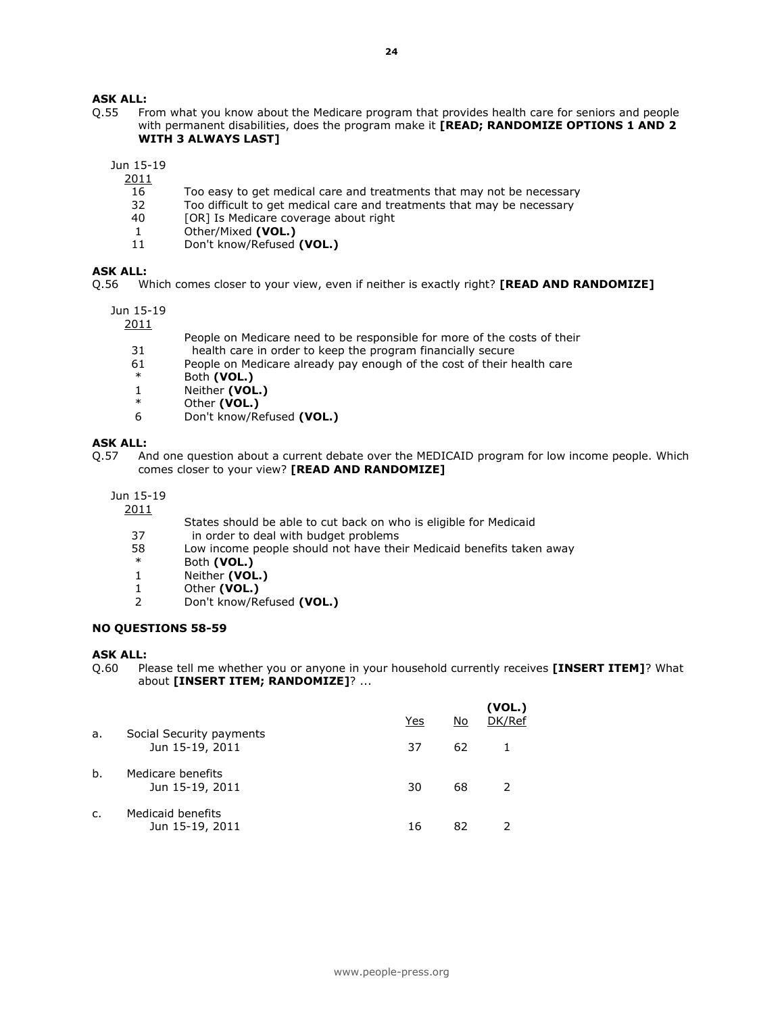# ASK ALL:

Q.55 From what you know about the Medicare program that provides health care for seniors and people with permanent disabilities, does the program make it [READ; RANDOMIZE OPTIONS 1 AND 2 WITH 3 ALWAYS LAST]

Jun 15-19

2011

- 16 Too easy to get medical care and treatments that may not be necessary
- 32 Too difficult to get medical care and treatments that may be necessary<br>40 [OR] Is Medicare coverage about right
- [OR] Is Medicare coverage about right
- 1 Other/Mixed (VOL.)
- 11 Don't know/Refused (VOL.)

### ASK ALL:

Q.56 Which comes closer to your view, even if neither is exactly right? **[READ AND RANDOMIZE]** 

Jun 15-19

2011

- People on Medicare need to be responsible for more of the costs of their
- 31 health care in order to keep the program financially secure
- 61 People on Medicare already pay enough of the cost of their health care
- \* Both (VOL.)
- 1 Neither (VOL.)
- \* Other  $(vOL.)$ <br>6 Don't know/Re
- Don't know/Refused (VOL.)

# **ASK ALL:**<br>0.57 Ar

And one question about a current debate over the MEDICAID program for low income people. Which comes closer to your view? [READ AND RANDOMIZE]

Jun 15-19

2011

- States should be able to cut back on who is eligible for Medicaid<br>37 in order to deal with budget problems
- 37 in order to deal with budget problems<br>58 I ow income people should not have the
- $58$  Low income people should not have their Medicaid benefits taken away
- \* Both (VOL.)<br>1 Neither (VOL
- Neither (VOL.)
- 1 Other (VOL.)
- 2 Don't know/Refused (VOL.)

#### NO QUESTIONS 58-59

#### ASK ALL:

Q.60 Please tell me whether you or anyone in your household currently receives [INSERT ITEM]? What about [INSERT ITEM; RANDOMIZE]? ...

|                |                                             | Yes | No | (VOL.)<br>DK/Ref |
|----------------|---------------------------------------------|-----|----|------------------|
| a.             | Social Security payments<br>Jun 15-19, 2011 | 37  | 62 |                  |
| b.             | Medicare benefits<br>Jun 15-19, 2011        | 30  | 68 |                  |
| $\mathsf{C}$ . | Medicaid benefits<br>Jun 15-19, 2011        | 16  | 82 |                  |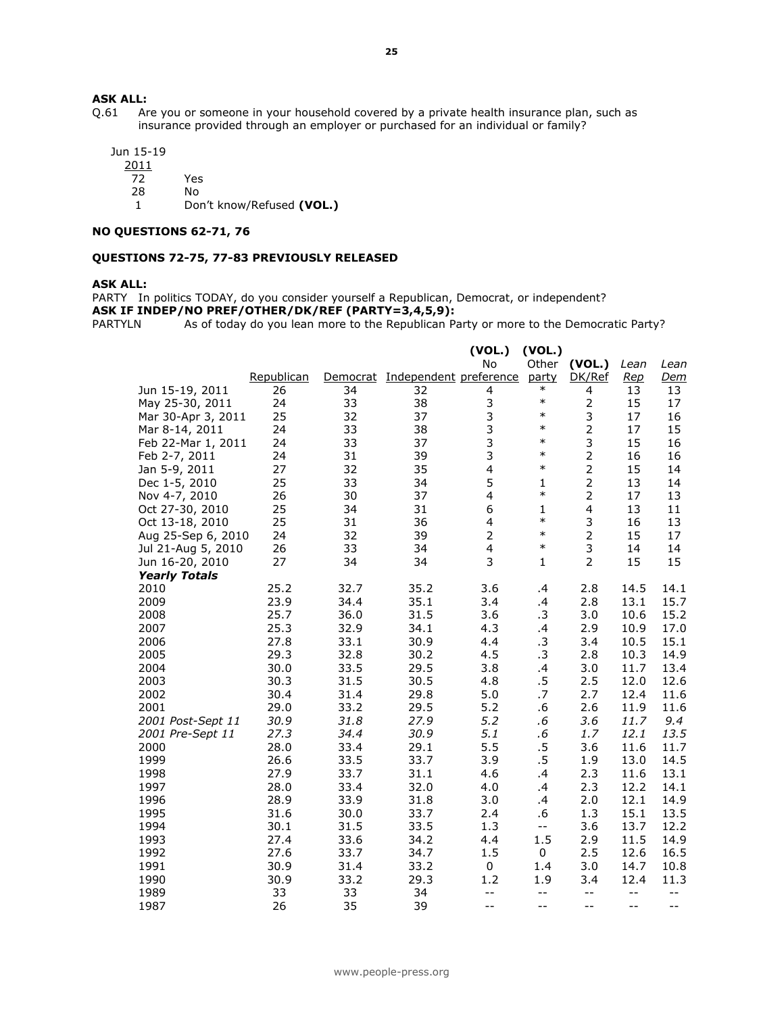# **ASK ALL:**<br>Q.61 Ar

Are you or someone in your household covered by a private health insurance plan, such as insurance provided through an employer or purchased for an individual or family?

 Jun 15-19 2011

72 Yes

28 No

1 Don't know/Refused (VOL.)

## NO QUESTIONS 62-71, 76

#### QUESTIONS 72-75, 77-83 PREVIOUSLY RELEASED

#### ASK ALL:

PARTY In politics TODAY, do you consider yourself a Republican, Democrat, or independent?

**ASK IF INDEP/NO PREF/OTHER/DK/REF (PARTY=3,4,5,9):**<br>PARTYLN As of today do you lean more to the Republican Pa

As of today do you lean more to the Republican Party or more to the Democratic Party?

|                      |            |      |                                 | (VOL.)         | (VOL.)       |                         |            |            |
|----------------------|------------|------|---------------------------------|----------------|--------------|-------------------------|------------|------------|
|                      |            |      |                                 | No             |              | Other (VOL.)            | Lean       | Lean       |
|                      | Republican |      | Democrat Independent preference |                | party        | DK/Ref                  | <u>Rep</u> | <u>Dem</u> |
| Jun 15-19, 2011      | 26         | 34   | 32                              | 4              | $\ast$       | 4                       | 13         | 13         |
| May 25-30, 2011      | 24         | 33   | 38                              | 3              | $\ast$       | $\overline{2}$          | 15         | 17         |
| Mar 30-Apr 3, 2011   | 25         | 32   | 37                              | 3              | $\ast$       | 3                       | 17         | 16         |
| Mar 8-14, 2011       | 24         | 33   | 38                              | 3              | $\ast$       | $\overline{2}$          | 17         | 15         |
| Feb 22-Mar 1, 2011   | 24         | 33   | 37                              | 3              | $\ast$       | 3                       | 15         | 16         |
| Feb 2-7, 2011        | 24         | 31   | 39                              | 3              | $\ast$       | $\overline{2}$          | 16         | 16         |
| Jan 5-9, 2011        | 27         | 32   | 35                              | 4              | $\ast$       | $\overline{2}$          | 15         | 14         |
| Dec 1-5, 2010        | 25         | 33   | 34                              | 5              | $\mathbf{1}$ | $\overline{2}$          | 13         | 14         |
| Nov 4-7, 2010        | 26         | 30   | 37                              | 4              | $\ast$       | $\overline{2}$          | 17         | 13         |
| Oct 27-30, 2010      | 25         | 34   | 31                              | 6              | $\mathbf{1}$ | $\overline{\mathbf{4}}$ | 13         | 11         |
| Oct 13-18, 2010      | 25         | 31   | 36                              | 4              | $\ast$       | 3                       | 16         | 13         |
| Aug 25-Sep 6, 2010   | 24         | 32   | 39                              | $\overline{2}$ | $\ast$       | $\overline{2}$          | 15         | 17         |
| Jul 21-Aug 5, 2010   | 26         | 33   | 34                              | 4              | $\ast$       | 3                       | 14         | 14         |
| Jun 16-20, 2010      | 27         | 34   | 34                              | 3              | $\mathbf{1}$ | $\overline{2}$          | 15         | 15         |
| <b>Yearly Totals</b> |            |      |                                 |                |              |                         |            |            |
| 2010                 | 25.2       | 32.7 | 35.2                            | 3.6            | $\cdot$      | 2.8                     | 14.5       | 14.1       |
| 2009                 | 23.9       | 34.4 | 35.1                            | 3.4            | .4           | 2.8                     | 13.1       | 15.7       |
| 2008                 | 25.7       | 36.0 | 31.5                            | 3.6            | $\cdot$ 3    | 3.0                     | 10.6       | 15.2       |
| 2007                 | 25.3       | 32.9 | 34.1                            | 4.3            | .4           | 2.9                     | 10.9       | 17.0       |
| 2006                 | 27.8       | 33.1 | 30.9                            | 4.4            | .3           | 3.4                     | 10.5       | 15.1       |
| 2005                 | 29.3       | 32.8 | 30.2                            | 4.5            | $\cdot$ 3    | 2.8                     | 10.3       | 14.9       |
| 2004                 | 30.0       | 33.5 | 29.5                            | 3.8            | .4           | 3.0                     | 11.7       | 13.4       |
| 2003                 | 30.3       | 31.5 | 30.5                            | 4.8            | $.5\,$       | 2.5                     | 12.0       | 12.6       |
| 2002                 | 30.4       | 31.4 | 29.8                            | 5.0            | .7           | 2.7                     | 12.4       | 11.6       |
| 2001                 | 29.0       | 33.2 | 29.5                            | 5.2            | .6           | 2.6                     | 11.9       | 11.6       |
| 2001 Post-Sept 11    | 30.9       | 31.8 | 27.9                            | 5.2            | $.6\,$       | 3.6                     | 11.7       | 9.4        |
| 2001 Pre-Sept 11     | 27.3       | 34.4 | 30.9                            | 5.1            | .6           | 1.7                     | 12.1       | 13.5       |
| 2000                 | 28.0       | 33.4 | 29.1                            | 5.5            | $.5\,$       | 3.6                     | 11.6       | 11.7       |
| 1999                 | 26.6       | 33.5 | 33.7                            | 3.9            | $.5\,$       | 1.9                     | 13.0       | 14.5       |
| 1998                 | 27.9       | 33.7 | 31.1                            | 4.6            | .4           | 2.3                     | 11.6       | 13.1       |
| 1997                 | 28.0       | 33.4 | 32.0                            | 4.0            | .4           | 2.3                     | 12.2       | 14.1       |
| 1996                 | 28.9       | 33.9 | 31.8                            | 3.0            | .4           | 2.0                     | 12.1       | 14.9       |
| 1995                 | 31.6       | 30.0 | 33.7                            | 2.4            | .6           | 1.3                     | 15.1       | 13.5       |
| 1994                 | 30.1       | 31.5 | 33.5                            | 1.3            | $- -$        | 3.6                     | 13.7       | 12.2       |
| 1993                 | 27.4       | 33.6 | 34.2                            | 4.4            | 1.5          | 2.9                     | 11.5       | 14.9       |
| 1992                 | 27.6       | 33.7 | 34.7                            | 1.5            | 0            | 2.5                     | 12.6       | 16.5       |
| 1991                 | 30.9       | 31.4 | 33.2                            | 0              | 1.4          | 3.0                     | 14.7       | 10.8       |
| 1990                 | 30.9       | 33.2 | 29.3                            | 1.2            | 1.9          | 3.4                     | 12.4       | 11.3       |
| 1989                 | 33         | 33   | 34                              | $- -$          | $- -$        | $- -$                   | $-$        | $-$        |
| 1987                 | 26         | 35   | 39                              | $-$            | $-$          | $-$                     | $-$        | $-$        |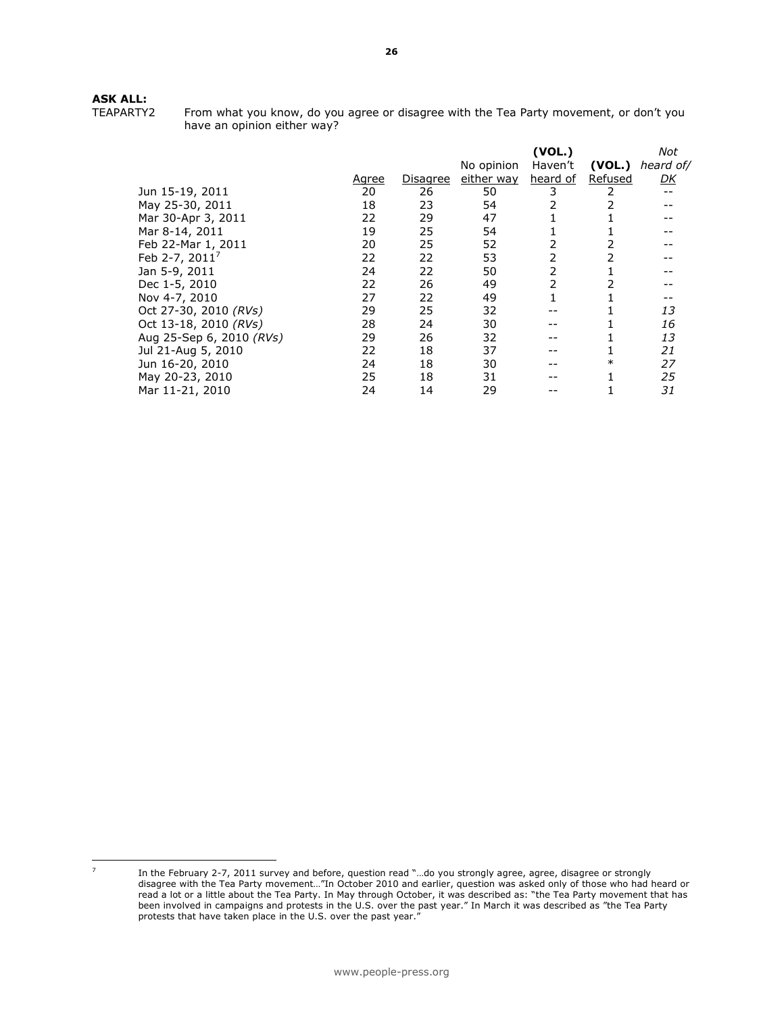# ASK ALL:

| I EAPAR I YZ |  |  |
|--------------|--|--|
|              |  |  |

From what you know, do you agree or disagree with the Tea Party movement, or don't you have an opinion either way?

|                          |              |          |            | (VOL.)   |         | Not       |
|--------------------------|--------------|----------|------------|----------|---------|-----------|
|                          |              |          | No opinion | Haven't  | (VOL.)  | heard of/ |
|                          | <u>Agree</u> | Disagree | either way | heard of | Refused | DK        |
| Jun 15-19, 2011          | 20           | 26       | 50         |          |         |           |
| May 25-30, 2011          | 18           | 23       | 54         |          |         |           |
| Mar 30-Apr 3, 2011       | 22           | 29       | 47         |          |         |           |
| Mar 8-14, 2011           | 19           | 25       | 54         |          |         |           |
| Feb 22-Mar 1, 2011       | 20           | 25       | 52         |          |         |           |
| Feb 2-7, $2011^7$        | 22           | 22       | 53         |          |         |           |
| Jan 5-9, 2011            | 24           | 22       | 50         |          |         |           |
| Dec 1-5, 2010            | 22           | 26       | 49         |          |         |           |
| Nov 4-7, 2010            | 27           | 22       | 49         |          |         |           |
| Oct 27-30, 2010 (RVs)    | 29           | 25       | 32         |          |         | 13        |
| Oct 13-18, 2010 (RVs)    | 28           | 24       | 30         |          |         | 16        |
| Aug 25-Sep 6, 2010 (RVs) | 29           | 26       | 32         |          |         | 13        |
| Jul 21-Aug 5, 2010       | 22           | 18       | 37         |          |         | 21        |
| Jun 16-20, 2010          | 24           | 18       | 30         |          | $\ast$  | 27        |
| May 20-23, 2010          | 25           | 18       | 31         |          |         | 25        |
| Mar 11-21, 2010          | 24           | 14       | 29         |          |         | 31        |
|                          |              |          |            |          |         |           |

L

In the February 2-7, 2011 survey and before, question read "...do you strongly agree, agree, disagree or strongly disagree with the Tea Party movement…"In October 2010 and earlier, question was asked only of those who had heard or read a lot or a little about the Tea Party. In May through October, it was described as: "the Tea Party movement that has been involved in campaigns and protests in the U.S. over the past year." In March it was described as "the Tea Party protests that have taken place in the U.S. over the past year.